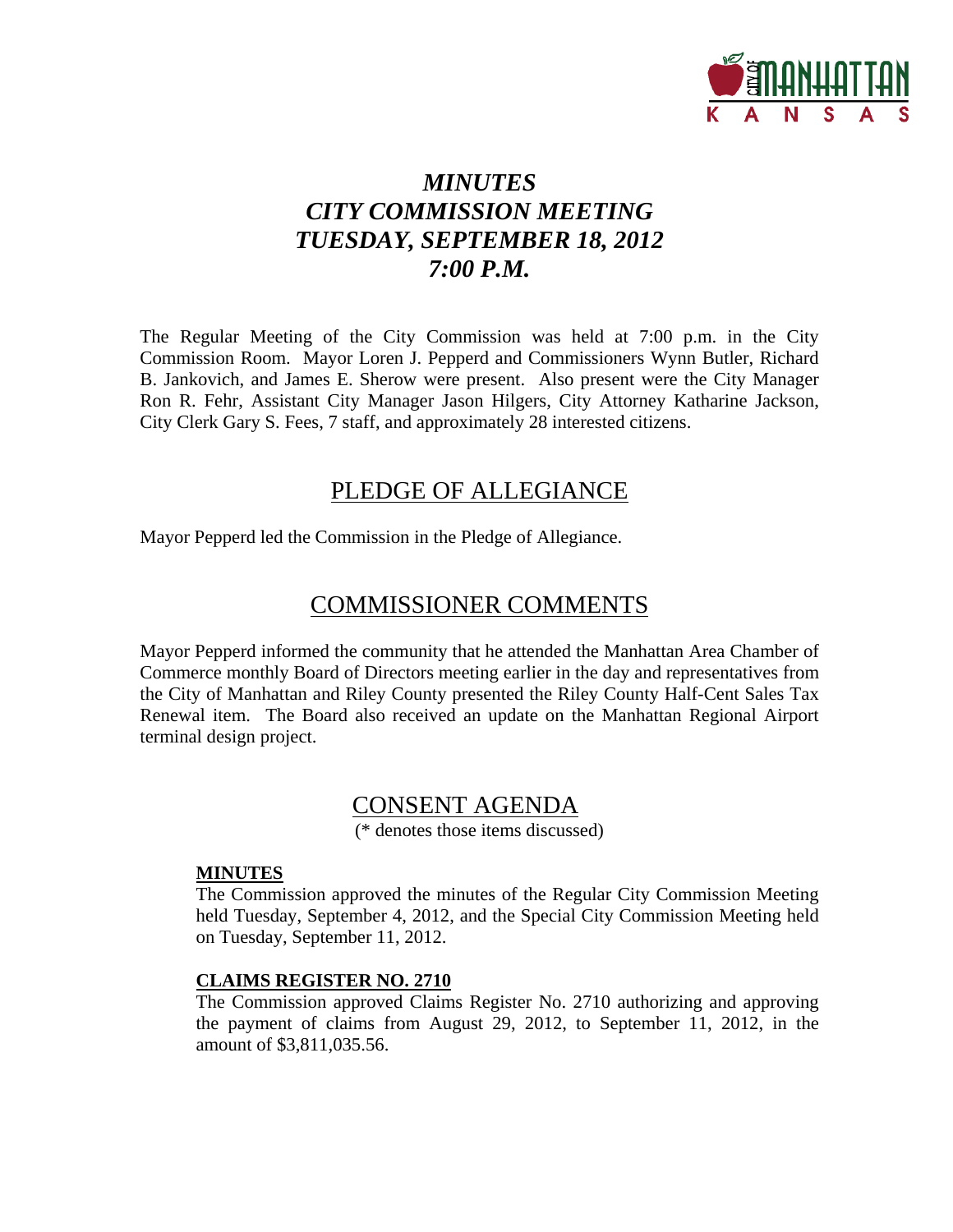

# *MINUTES CITY COMMISSION MEETING TUESDAY, SEPTEMBER 18, 2012 7:00 P.M.*

The Regular Meeting of the City Commission was held at 7:00 p.m. in the City Commission Room. Mayor Loren J. Pepperd and Commissioners Wynn Butler, Richard B. Jankovich, and James E. Sherow were present. Also present were the City Manager Ron R. Fehr, Assistant City Manager Jason Hilgers, City Attorney Katharine Jackson, City Clerk Gary S. Fees, 7 staff, and approximately 28 interested citizens.

## PLEDGE OF ALLEGIANCE

Mayor Pepperd led the Commission in the Pledge of Allegiance.

# COMMISSIONER COMMENTS

Mayor Pepperd informed the community that he attended the Manhattan Area Chamber of Commerce monthly Board of Directors meeting earlier in the day and representatives from the City of Manhattan and Riley County presented the Riley County Half-Cent Sales Tax Renewal item. The Board also received an update on the Manhattan Regional Airport terminal design project.

## CONSENT AGENDA

(\* denotes those items discussed)

#### **MINUTES**

The Commission approved the minutes of the Regular City Commission Meeting held Tuesday, September 4, 2012, and the Special City Commission Meeting held on Tuesday, September 11, 2012.

## **CLAIMS REGISTER NO. 2710**

The Commission approved Claims Register No. 2710 authorizing and approving the payment of claims from August 29, 2012, to September 11, 2012, in the amount of \$3,811,035.56.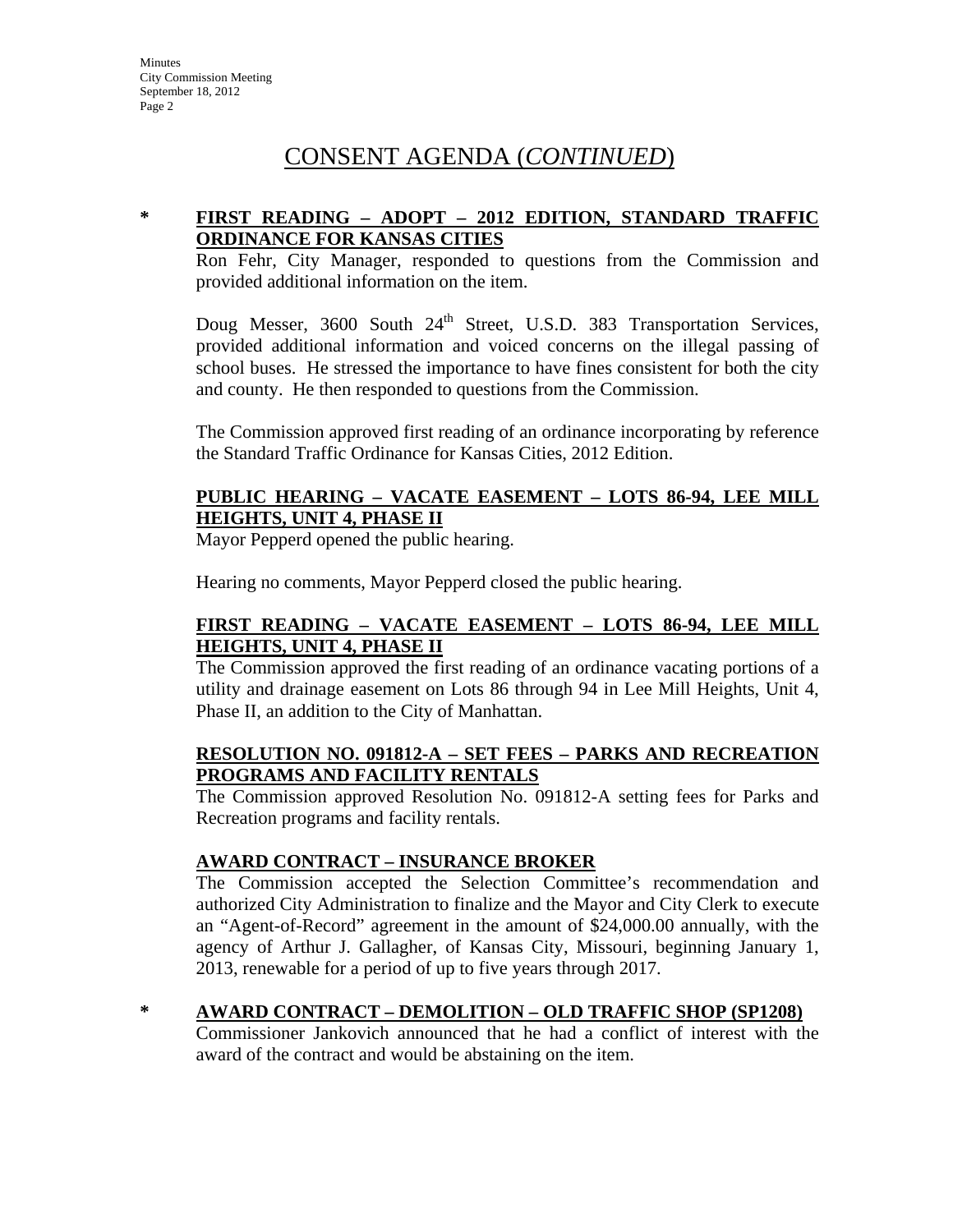# CONSENT AGENDA (*CONTINUED*)

## **\* FIRST READING – ADOPT – 2012 EDITION, STANDARD TRAFFIC ORDINANCE FOR KANSAS CITIES**

Ron Fehr, City Manager, responded to questions from the Commission and provided additional information on the item.

Doug Messer, 3600 South 24<sup>th</sup> Street, U.S.D. 383 Transportation Services, provided additional information and voiced concerns on the illegal passing of school buses. He stressed the importance to have fines consistent for both the city and county. He then responded to questions from the Commission.

The Commission approved first reading of an ordinance incorporating by reference the Standard Traffic Ordinance for Kansas Cities, 2012 Edition.

## **PUBLIC HEARING – VACATE EASEMENT – LOTS 86-94, LEE MILL HEIGHTS, UNIT 4, PHASE II**

Mayor Pepperd opened the public hearing.

Hearing no comments, Mayor Pepperd closed the public hearing.

## **FIRST READING – VACATE EASEMENT – LOTS 86-94, LEE MILL HEIGHTS, UNIT 4, PHASE II**

The Commission approved the first reading of an ordinance vacating portions of a utility and drainage easement on Lots 86 through 94 in Lee Mill Heights, Unit 4, Phase II, an addition to the City of Manhattan.

### **RESOLUTION NO. 091812-A – SET FEES – PARKS AND RECREATION PROGRAMS AND FACILITY RENTALS**

The Commission approved Resolution No. 091812-A setting fees for Parks and Recreation programs and facility rentals.

## **AWARD CONTRACT – INSURANCE BROKER**

The Commission accepted the Selection Committee's recommendation and authorized City Administration to finalize and the Mayor and City Clerk to execute an "Agent-of-Record" agreement in the amount of \$24,000.00 annually, with the agency of Arthur J. Gallagher, of Kansas City, Missouri, beginning January 1, 2013, renewable for a period of up to five years through 2017.

#### **\* AWARD CONTRACT – DEMOLITION – OLD TRAFFIC SHOP (SP1208)**

Commissioner Jankovich announced that he had a conflict of interest with the award of the contract and would be abstaining on the item.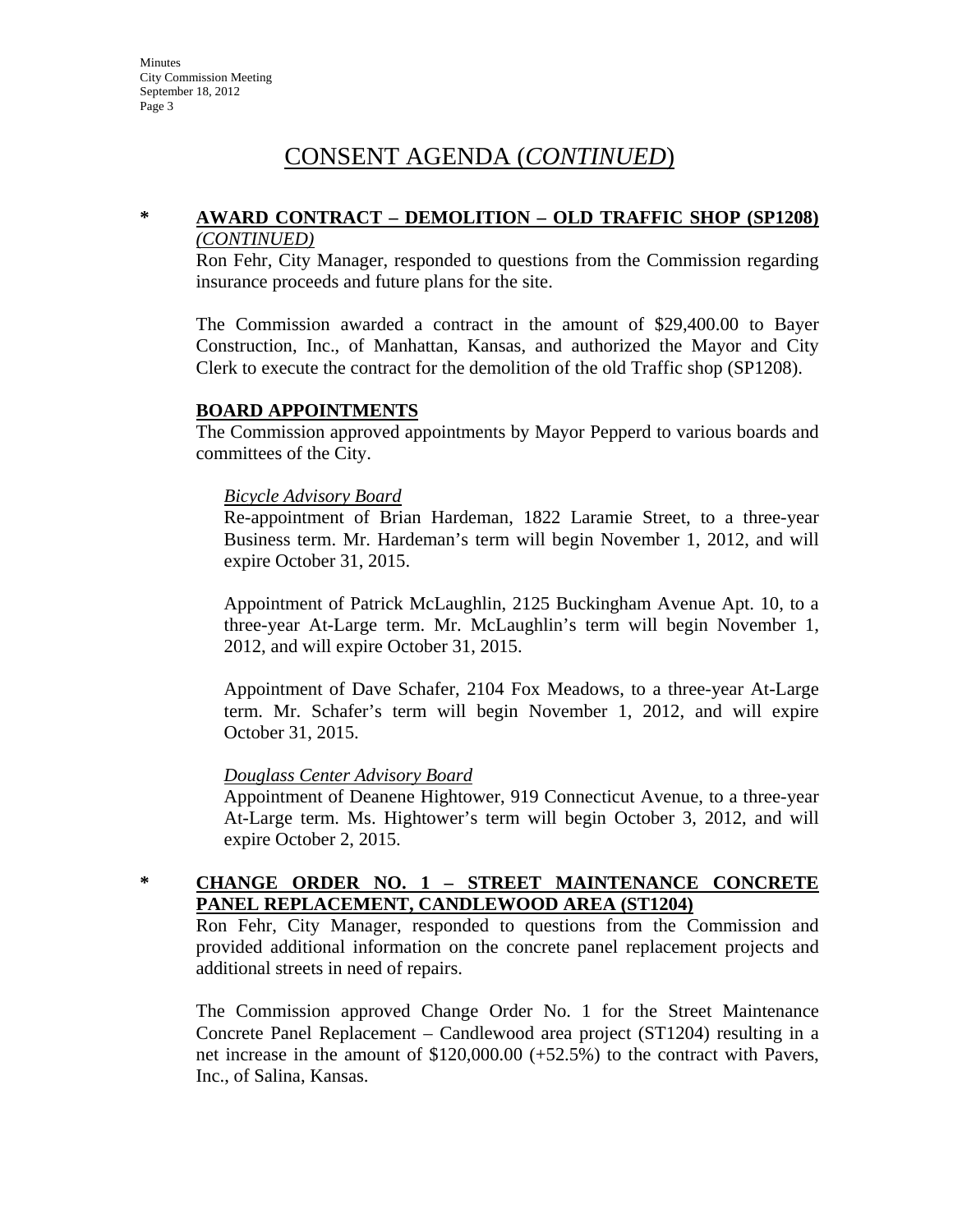# CONSENT AGENDA (*CONTINUED*)

#### **\* AWARD CONTRACT – DEMOLITION – OLD TRAFFIC SHOP (SP1208)** *(CONTINUED)*

Ron Fehr, City Manager, responded to questions from the Commission regarding insurance proceeds and future plans for the site.

The Commission awarded a contract in the amount of \$29,400.00 to Bayer Construction, Inc., of Manhattan, Kansas, and authorized the Mayor and City Clerk to execute the contract for the demolition of the old Traffic shop (SP1208).

### **BOARD APPOINTMENTS**

The Commission approved appointments by Mayor Pepperd to various boards and committees of the City.

#### *Bicycle Advisory Board*

Re-appointment of Brian Hardeman, 1822 Laramie Street, to a three-year Business term. Mr. Hardeman's term will begin November 1, 2012, and will expire October 31, 2015.

Appointment of Patrick McLaughlin, 2125 Buckingham Avenue Apt. 10, to a three-year At-Large term. Mr. McLaughlin's term will begin November 1, 2012, and will expire October 31, 2015.

Appointment of Dave Schafer, 2104 Fox Meadows, to a three-year At-Large term. Mr. Schafer's term will begin November 1, 2012, and will expire October 31, 2015.

#### *Douglass Center Advisory Board*

Appointment of Deanene Hightower, 919 Connecticut Avenue, to a three-year At-Large term. Ms. Hightower's term will begin October 3, 2012, and will expire October 2, 2015.

## **\* CHANGE ORDER NO. 1 – STREET MAINTENANCE CONCRETE PANEL REPLACEMENT, CANDLEWOOD AREA (ST1204)**

Ron Fehr, City Manager, responded to questions from the Commission and provided additional information on the concrete panel replacement projects and additional streets in need of repairs.

The Commission approved Change Order No. 1 for the Street Maintenance Concrete Panel Replacement – Candlewood area project (ST1204) resulting in a net increase in the amount of \$120,000.00 (+52.5%) to the contract with Pavers, Inc., of Salina, Kansas.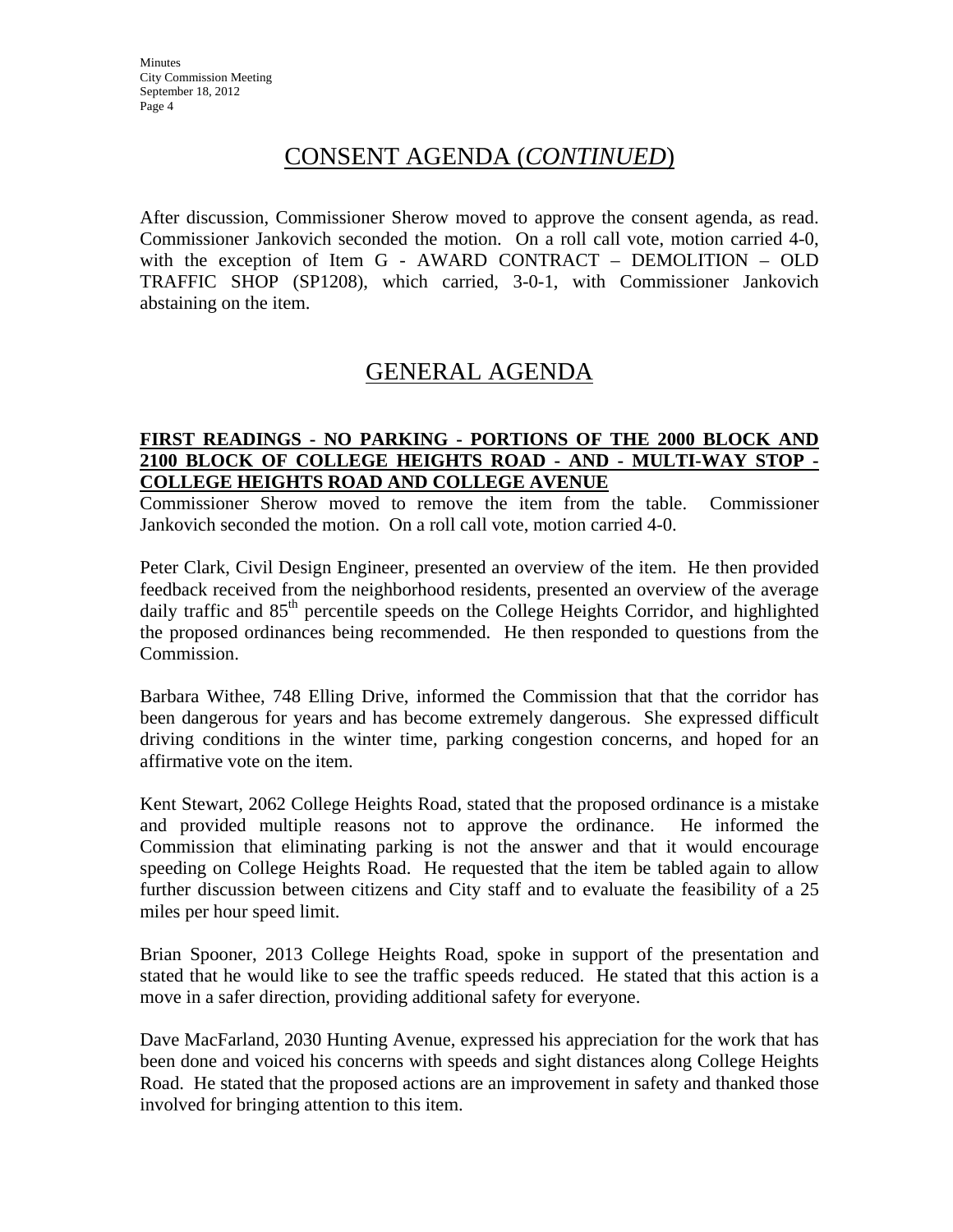# CONSENT AGENDA (*CONTINUED*)

After discussion, Commissioner Sherow moved to approve the consent agenda, as read. Commissioner Jankovich seconded the motion. On a roll call vote, motion carried 4-0, with the exception of Item G - AWARD CONTRACT – DEMOLITION – OLD TRAFFIC SHOP (SP1208), which carried, 3-0-1, with Commissioner Jankovich abstaining on the item.

# GENERAL AGENDA

### **FIRST READINGS - NO PARKING - PORTIONS OF THE 2000 BLOCK AND 2100 BLOCK OF COLLEGE HEIGHTS ROAD - AND - MULTI-WAY STOP - COLLEGE HEIGHTS ROAD AND COLLEGE AVENUE**

Commissioner Sherow moved to remove the item from the table. Commissioner Jankovich seconded the motion. On a roll call vote, motion carried 4-0.

Peter Clark, Civil Design Engineer, presented an overview of the item. He then provided feedback received from the neighborhood residents, presented an overview of the average daily traffic and  $85<sup>th</sup>$  percentile speeds on the College Heights Corridor, and highlighted the proposed ordinances being recommended. He then responded to questions from the Commission.

Barbara Withee, 748 Elling Drive, informed the Commission that that the corridor has been dangerous for years and has become extremely dangerous. She expressed difficult driving conditions in the winter time, parking congestion concerns, and hoped for an affirmative vote on the item.

Kent Stewart, 2062 College Heights Road, stated that the proposed ordinance is a mistake and provided multiple reasons not to approve the ordinance. He informed the Commission that eliminating parking is not the answer and that it would encourage speeding on College Heights Road. He requested that the item be tabled again to allow further discussion between citizens and City staff and to evaluate the feasibility of a 25 miles per hour speed limit.

Brian Spooner, 2013 College Heights Road, spoke in support of the presentation and stated that he would like to see the traffic speeds reduced. He stated that this action is a move in a safer direction, providing additional safety for everyone.

Dave MacFarland, 2030 Hunting Avenue, expressed his appreciation for the work that has been done and voiced his concerns with speeds and sight distances along College Heights Road. He stated that the proposed actions are an improvement in safety and thanked those involved for bringing attention to this item.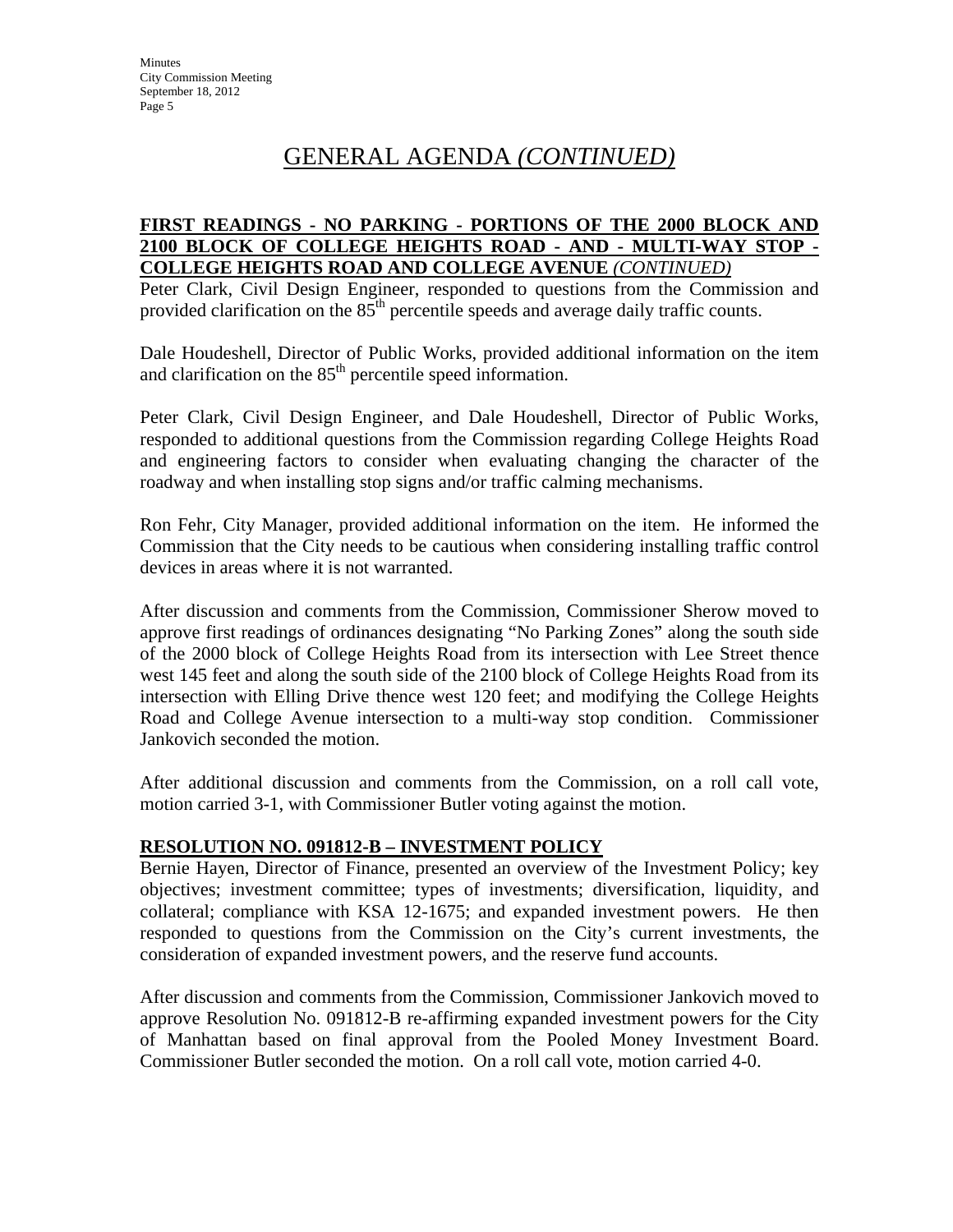# GENERAL AGENDA *(CONTINUED)*

### **FIRST READINGS - NO PARKING - PORTIONS OF THE 2000 BLOCK AND 2100 BLOCK OF COLLEGE HEIGHTS ROAD - AND - MULTI-WAY STOP - COLLEGE HEIGHTS ROAD AND COLLEGE AVENUE** *(CONTINUED)*

Peter Clark, Civil Design Engineer, responded to questions from the Commission and provided clarification on the  $85<sup>th</sup>$  percentile speeds and average daily traffic counts.

Dale Houdeshell, Director of Public Works, provided additional information on the item and clarification on the  $85<sup>th</sup>$  percentile speed information.

Peter Clark, Civil Design Engineer, and Dale Houdeshell, Director of Public Works, responded to additional questions from the Commission regarding College Heights Road and engineering factors to consider when evaluating changing the character of the roadway and when installing stop signs and/or traffic calming mechanisms.

Ron Fehr, City Manager, provided additional information on the item. He informed the Commission that the City needs to be cautious when considering installing traffic control devices in areas where it is not warranted.

After discussion and comments from the Commission, Commissioner Sherow moved to approve first readings of ordinances designating "No Parking Zones" along the south side of the 2000 block of College Heights Road from its intersection with Lee Street thence west 145 feet and along the south side of the 2100 block of College Heights Road from its intersection with Elling Drive thence west 120 feet; and modifying the College Heights Road and College Avenue intersection to a multi-way stop condition. Commissioner Jankovich seconded the motion.

After additional discussion and comments from the Commission, on a roll call vote, motion carried 3-1, with Commissioner Butler voting against the motion.

## **RESOLUTION NO. 091812-B – INVESTMENT POLICY**

Bernie Hayen, Director of Finance, presented an overview of the Investment Policy; key objectives; investment committee; types of investments; diversification, liquidity, and collateral; compliance with KSA 12-1675; and expanded investment powers. He then responded to questions from the Commission on the City's current investments, the consideration of expanded investment powers, and the reserve fund accounts.

After discussion and comments from the Commission, Commissioner Jankovich moved to approve Resolution No. 091812-B re-affirming expanded investment powers for the City of Manhattan based on final approval from the Pooled Money Investment Board. Commissioner Butler seconded the motion. On a roll call vote, motion carried 4-0.